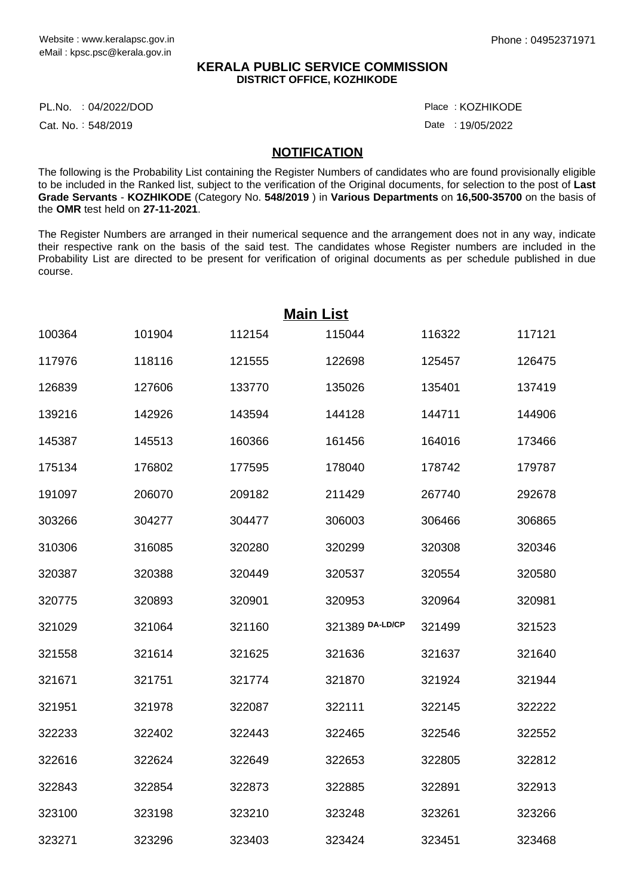### **KERALA PUBLIC SERVICE COMMISSION DISTRICT OFFICE, KOZHIKODE**

PL.No. :04/2022/DOD Place

Cat. No.: 548/2019

: KOZHIKODE

Date: 19/05/2022

#### **NOTIFICATION**

The following is the Probability List containing the Register Numbers of candidates who are found provisionally eligible to be included in the Ranked list, subject to the verification of the Original documents, for selection to the post of **Last Grade Servants** - **KOZHIKODE** (Category No. **548/2019** ) in **Various Departments** on **16,500-35700** on the basis of the **OMR** test held on **27-11-2021**.

The Register Numbers are arranged in their numerical sequence and the arrangement does not in any way, indicate their respective rank on the basis of the said test. The candidates whose Register numbers are included in the Probability List are directed to be present for verification of original documents as per schedule published in due course.

| <b>Main List</b> |        |        |                 |        |        |  |  |  |
|------------------|--------|--------|-----------------|--------|--------|--|--|--|
| 100364           | 101904 | 112154 | 115044          | 116322 | 117121 |  |  |  |
| 117976           | 118116 | 121555 | 122698          | 125457 | 126475 |  |  |  |
| 126839           | 127606 | 133770 | 135026          | 135401 | 137419 |  |  |  |
| 139216           | 142926 | 143594 | 144128          | 144711 | 144906 |  |  |  |
| 145387           | 145513 | 160366 | 161456          | 164016 | 173466 |  |  |  |
| 175134           | 176802 | 177595 | 178040          | 178742 | 179787 |  |  |  |
| 191097           | 206070 | 209182 | 211429          | 267740 | 292678 |  |  |  |
| 303266           | 304277 | 304477 | 306003          | 306466 | 306865 |  |  |  |
| 310306           | 316085 | 320280 | 320299          | 320308 | 320346 |  |  |  |
| 320387           | 320388 | 320449 | 320537          | 320554 | 320580 |  |  |  |
| 320775           | 320893 | 320901 | 320953          | 320964 | 320981 |  |  |  |
| 321029           | 321064 | 321160 | 321389 DA-LD/CP | 321499 | 321523 |  |  |  |
| 321558           | 321614 | 321625 | 321636          | 321637 | 321640 |  |  |  |
| 321671           | 321751 | 321774 | 321870          | 321924 | 321944 |  |  |  |
| 321951           | 321978 | 322087 | 322111          | 322145 | 322222 |  |  |  |
| 322233           | 322402 | 322443 | 322465          | 322546 | 322552 |  |  |  |
| 322616           | 322624 | 322649 | 322653          | 322805 | 322812 |  |  |  |
| 322843           | 322854 | 322873 | 322885          | 322891 | 322913 |  |  |  |
| 323100           | 323198 | 323210 | 323248          | 323261 | 323266 |  |  |  |
| 323271           | 323296 | 323403 | 323424          | 323451 | 323468 |  |  |  |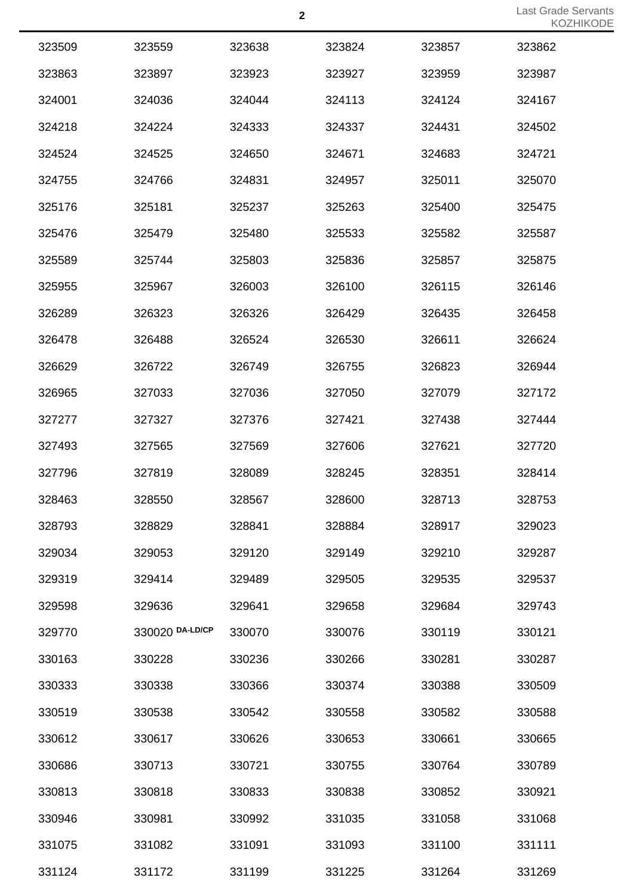| 323509 | 323559          | 323638 | 323824 | 323857 | 323862 |
|--------|-----------------|--------|--------|--------|--------|
| 323863 | 323897          | 323923 | 323927 | 323959 | 323987 |
| 324001 | 324036          | 324044 | 324113 | 324124 | 324167 |
| 324218 | 324224          | 324333 | 324337 | 324431 | 324502 |
| 324524 | 324525          | 324650 | 324671 | 324683 | 324721 |
| 324755 | 324766          | 324831 | 324957 | 325011 | 325070 |
| 325176 | 325181          | 325237 | 325263 | 325400 | 325475 |
| 325476 | 325479          | 325480 | 325533 | 325582 | 325587 |
| 325589 | 325744          | 325803 | 325836 | 325857 | 325875 |
| 325955 | 325967          | 326003 | 326100 | 326115 | 326146 |
| 326289 | 326323          | 326326 | 326429 | 326435 | 326458 |
| 326478 | 326488          | 326524 | 326530 | 326611 | 326624 |
| 326629 | 326722          | 326749 | 326755 | 326823 | 326944 |
| 326965 | 327033          | 327036 | 327050 | 327079 | 327172 |
| 327277 | 327327          | 327376 | 327421 | 327438 | 327444 |
| 327493 | 327565          | 327569 | 327606 | 327621 | 327720 |
| 327796 | 327819          | 328089 | 328245 | 328351 | 328414 |
| 328463 | 328550          | 328567 | 328600 | 328713 | 328753 |
| 328793 | 328829          | 328841 | 328884 | 328917 | 329023 |
| 329034 | 329053          | 329120 | 329149 | 329210 | 329287 |
| 329319 | 329414          | 329489 | 329505 | 329535 | 329537 |
| 329598 | 329636          | 329641 | 329658 | 329684 | 329743 |
| 329770 | 330020 DA-LD/CP | 330070 | 330076 | 330119 | 330121 |
| 330163 | 330228          | 330236 | 330266 | 330281 | 330287 |
| 330333 | 330338          | 330366 | 330374 | 330388 | 330509 |
| 330519 | 330538          | 330542 | 330558 | 330582 | 330588 |
| 330612 | 330617          | 330626 | 330653 | 330661 | 330665 |
| 330686 | 330713          | 330721 | 330755 | 330764 | 330789 |
| 330813 | 330818          | 330833 | 330838 | 330852 | 330921 |
| 330946 | 330981          | 330992 | 331035 | 331058 | 331068 |
| 331075 | 331082          | 331091 | 331093 | 331100 | 331111 |
| 331124 | 331172          | 331199 | 331225 | 331264 | 331269 |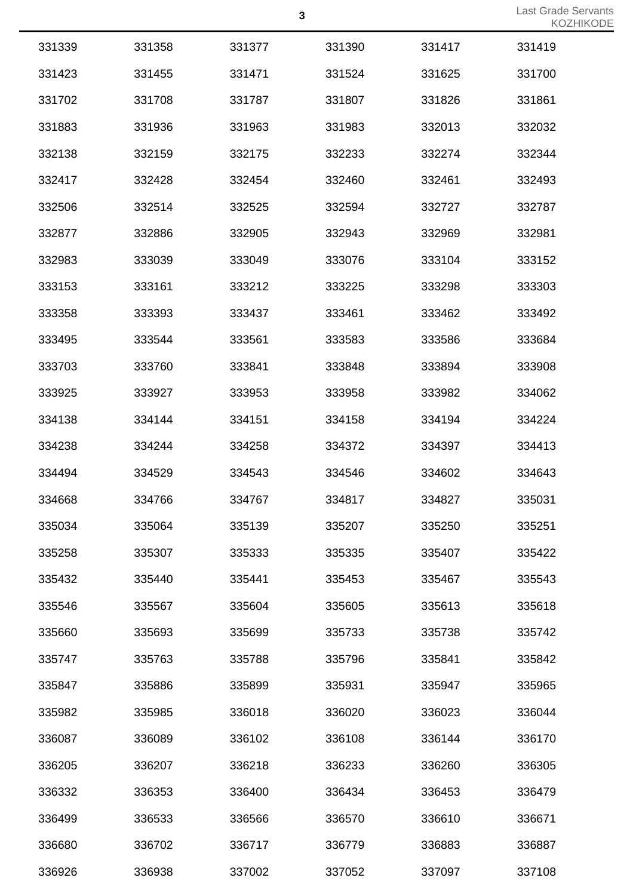|        |        |        |        |        | <b>NUZ</b> |
|--------|--------|--------|--------|--------|------------|
| 331339 | 331358 | 331377 | 331390 | 331417 | 331419     |
| 331423 | 331455 | 331471 | 331524 | 331625 | 331700     |
| 331702 | 331708 | 331787 | 331807 | 331826 | 331861     |
| 331883 | 331936 | 331963 | 331983 | 332013 | 332032     |
| 332138 | 332159 | 332175 | 332233 | 332274 | 332344     |
| 332417 | 332428 | 332454 | 332460 | 332461 | 332493     |
| 332506 | 332514 | 332525 | 332594 | 332727 | 332787     |
| 332877 | 332886 | 332905 | 332943 | 332969 | 332981     |
| 332983 | 333039 | 333049 | 333076 | 333104 | 333152     |
| 333153 | 333161 | 333212 | 333225 | 333298 | 333303     |
| 333358 | 333393 | 333437 | 333461 | 333462 | 333492     |
| 333495 | 333544 | 333561 | 333583 | 333586 | 333684     |
| 333703 | 333760 | 333841 | 333848 | 333894 | 333908     |
| 333925 | 333927 | 333953 | 333958 | 333982 | 334062     |
| 334138 | 334144 | 334151 | 334158 | 334194 | 334224     |
| 334238 | 334244 | 334258 | 334372 | 334397 | 334413     |
| 334494 | 334529 | 334543 | 334546 | 334602 | 334643     |
| 334668 | 334766 | 334767 | 334817 | 334827 | 335031     |
| 335034 | 335064 | 335139 | 335207 | 335250 | 335251     |
| 335258 | 335307 | 335333 | 335335 | 335407 | 335422     |
| 335432 | 335440 | 335441 | 335453 | 335467 | 335543     |
| 335546 | 335567 | 335604 | 335605 | 335613 | 335618     |
| 335660 | 335693 | 335699 | 335733 | 335738 | 335742     |
| 335747 | 335763 | 335788 | 335796 | 335841 | 335842     |
| 335847 | 335886 | 335899 | 335931 | 335947 | 335965     |
| 335982 | 335985 | 336018 | 336020 | 336023 | 336044     |
| 336087 | 336089 | 336102 | 336108 | 336144 | 336170     |
| 336205 | 336207 | 336218 | 336233 | 336260 | 336305     |
| 336332 | 336353 | 336400 | 336434 | 336453 | 336479     |
| 336499 | 336533 | 336566 | 336570 | 336610 | 336671     |
| 336680 | 336702 | 336717 | 336779 | 336883 | 336887     |
| 336926 | 336938 | 337002 | 337052 | 337097 | 337108     |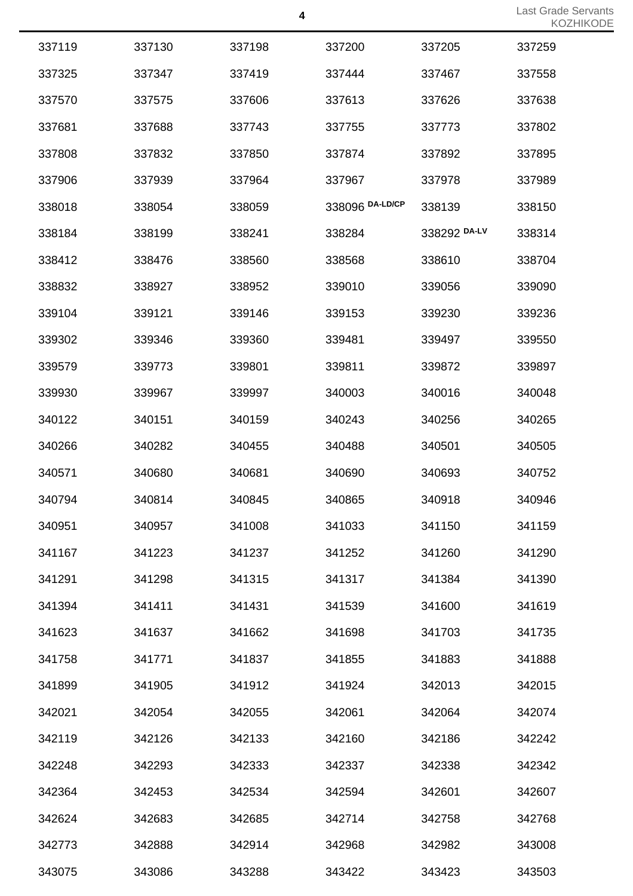|        |        |        |                 |              | $\sim$ |
|--------|--------|--------|-----------------|--------------|--------|
| 337119 | 337130 | 337198 | 337200          | 337205       | 337259 |
| 337325 | 337347 | 337419 | 337444          | 337467       | 337558 |
| 337570 | 337575 | 337606 | 337613          | 337626       | 337638 |
| 337681 | 337688 | 337743 | 337755          | 337773       | 337802 |
| 337808 | 337832 | 337850 | 337874          | 337892       | 337895 |
| 337906 | 337939 | 337964 | 337967          | 337978       | 337989 |
| 338018 | 338054 | 338059 | 338096 DA-LD/CP | 338139       | 338150 |
| 338184 | 338199 | 338241 | 338284          | 338292 DA-LV | 338314 |
| 338412 | 338476 | 338560 | 338568          | 338610       | 338704 |
| 338832 | 338927 | 338952 | 339010          | 339056       | 339090 |
| 339104 | 339121 | 339146 | 339153          | 339230       | 339236 |
| 339302 | 339346 | 339360 | 339481          | 339497       | 339550 |
| 339579 | 339773 | 339801 | 339811          | 339872       | 339897 |
| 339930 | 339967 | 339997 | 340003          | 340016       | 340048 |
| 340122 | 340151 | 340159 | 340243          | 340256       | 340265 |
| 340266 | 340282 | 340455 | 340488          | 340501       | 340505 |
| 340571 | 340680 | 340681 | 340690          | 340693       | 340752 |
| 340794 | 340814 | 340845 | 340865          | 340918       | 340946 |
| 340951 | 340957 | 341008 | 341033          | 341150       | 341159 |
| 341167 | 341223 | 341237 | 341252          | 341260       | 341290 |
| 341291 | 341298 | 341315 | 341317          | 341384       | 341390 |
| 341394 | 341411 | 341431 | 341539          | 341600       | 341619 |
| 341623 | 341637 | 341662 | 341698          | 341703       | 341735 |
| 341758 | 341771 | 341837 | 341855          | 341883       | 341888 |
| 341899 | 341905 | 341912 | 341924          | 342013       | 342015 |
| 342021 | 342054 | 342055 | 342061          | 342064       | 342074 |
| 342119 | 342126 | 342133 | 342160          | 342186       | 342242 |
| 342248 | 342293 | 342333 | 342337          | 342338       | 342342 |
| 342364 | 342453 | 342534 | 342594          | 342601       | 342607 |
| 342624 | 342683 | 342685 | 342714          | 342758       | 342768 |
| 342773 | 342888 | 342914 | 342968          | 342982       | 343008 |
| 343075 | 343086 | 343288 | 343422          | 343423       | 343503 |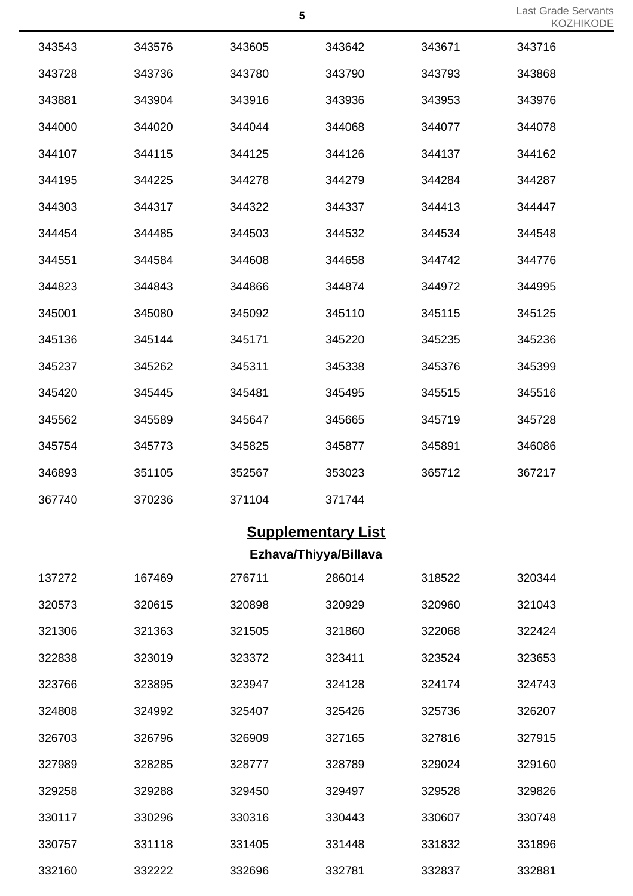| 343543 | 343576 | 343605 | 343642 | 343671 | 343716 |
|--------|--------|--------|--------|--------|--------|
| 343728 | 343736 | 343780 | 343790 | 343793 | 343868 |
| 343881 | 343904 | 343916 | 343936 | 343953 | 343976 |
| 344000 | 344020 | 344044 | 344068 | 344077 | 344078 |
| 344107 | 344115 | 344125 | 344126 | 344137 | 344162 |
| 344195 | 344225 | 344278 | 344279 | 344284 | 344287 |
| 344303 | 344317 | 344322 | 344337 | 344413 | 344447 |
| 344454 | 344485 | 344503 | 344532 | 344534 | 344548 |
| 344551 | 344584 | 344608 | 344658 | 344742 | 344776 |
| 344823 | 344843 | 344866 | 344874 | 344972 | 344995 |
| 345001 | 345080 | 345092 | 345110 | 345115 | 345125 |
| 345136 | 345144 | 345171 | 345220 | 345235 | 345236 |
| 345237 | 345262 | 345311 | 345338 | 345376 | 345399 |
| 345420 | 345445 | 345481 | 345495 | 345515 | 345516 |
| 345562 | 345589 | 345647 | 345665 | 345719 | 345728 |
| 345754 | 345773 | 345825 | 345877 | 345891 | 346086 |
| 346893 | 351105 | 352567 | 353023 | 365712 | 367217 |
| 367740 | 370236 | 371104 | 371744 |        |        |

## **Supplementary List Ezhava/Thiyya/Billava**

| 137272 | 167469 | 276711 | 286014 | 318522 | 320344 |
|--------|--------|--------|--------|--------|--------|
| 320573 | 320615 | 320898 | 320929 | 320960 | 321043 |
| 321306 | 321363 | 321505 | 321860 | 322068 | 322424 |
| 322838 | 323019 | 323372 | 323411 | 323524 | 323653 |
| 323766 | 323895 | 323947 | 324128 | 324174 | 324743 |
| 324808 | 324992 | 325407 | 325426 | 325736 | 326207 |
| 326703 | 326796 | 326909 | 327165 | 327816 | 327915 |
| 327989 | 328285 | 328777 | 328789 | 329024 | 329160 |
| 329258 | 329288 | 329450 | 329497 | 329528 | 329826 |
| 330117 | 330296 | 330316 | 330443 | 330607 | 330748 |
| 330757 | 331118 | 331405 | 331448 | 331832 | 331896 |
| 332160 | 332222 | 332696 | 332781 | 332837 | 332881 |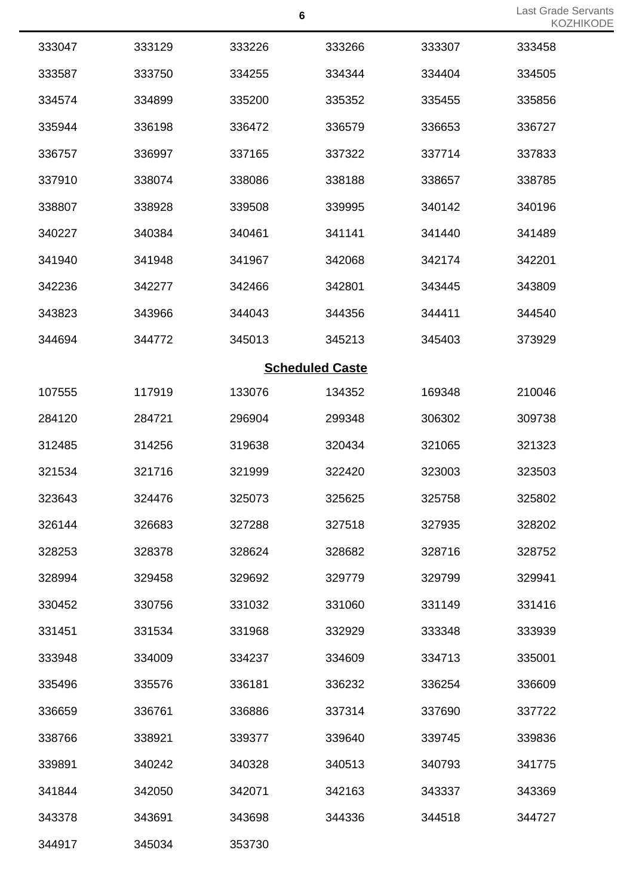Last Grade Servants KOZHIKODE

|        |        |        | $6\phantom{1}6$        |        | Last Grade S<br><b>KOZF</b> |
|--------|--------|--------|------------------------|--------|-----------------------------|
| 333047 | 333129 | 333226 | 333266                 | 333307 | 333458                      |
| 333587 | 333750 | 334255 | 334344                 | 334404 | 334505                      |
| 334574 | 334899 | 335200 | 335352                 | 335455 | 335856                      |
| 335944 | 336198 | 336472 | 336579                 | 336653 | 336727                      |
| 336757 | 336997 | 337165 | 337322                 | 337714 | 337833                      |
| 337910 | 338074 | 338086 | 338188                 | 338657 | 338785                      |
| 338807 | 338928 | 339508 | 339995                 | 340142 | 340196                      |
| 340227 | 340384 | 340461 | 341141                 | 341440 | 341489                      |
| 341940 | 341948 | 341967 | 342068                 | 342174 | 342201                      |
| 342236 | 342277 | 342466 | 342801                 | 343445 | 343809                      |
| 343823 | 343966 | 344043 | 344356                 | 344411 | 344540                      |
| 344694 | 344772 | 345013 | 345213                 | 345403 | 373929                      |
|        |        |        | <b>Scheduled Caste</b> |        |                             |
| 107555 | 117919 | 133076 | 134352                 | 169348 | 210046                      |
| 284120 | 284721 | 296904 | 299348                 | 306302 | 309738                      |
| 312485 | 314256 | 319638 | 320434                 | 321065 | 321323                      |
| 321534 | 321716 | 321999 | 322420                 | 323003 | 323503                      |
| 323643 | 324476 | 325073 | 325625                 | 325758 | 325802                      |
| 326144 | 326683 | 327288 | 327518                 | 327935 | 328202                      |
| 328253 | 328378 | 328624 | 328682                 | 328716 | 328752                      |
| 328994 | 329458 | 329692 | 329779                 | 329799 | 329941                      |
| 330452 | 330756 | 331032 | 331060                 | 331149 | 331416                      |
| 331451 | 331534 | 331968 | 332929                 | 333348 | 333939                      |
| 333948 | 334009 | 334237 | 334609                 | 334713 | 335001                      |
| 335496 | 335576 | 336181 | 336232                 | 336254 | 336609                      |
| 336659 | 336761 | 336886 | 337314                 | 337690 | 337722                      |
| 338766 | 338921 | 339377 | 339640                 | 339745 | 339836                      |
| 339891 | 340242 | 340328 | 340513                 | 340793 | 341775                      |
| 341844 | 342050 | 342071 | 342163                 | 343337 | 343369                      |
| 343378 | 343691 | 343698 | 344336                 | 344518 | 344727                      |
| 344917 | 345034 | 353730 |                        |        |                             |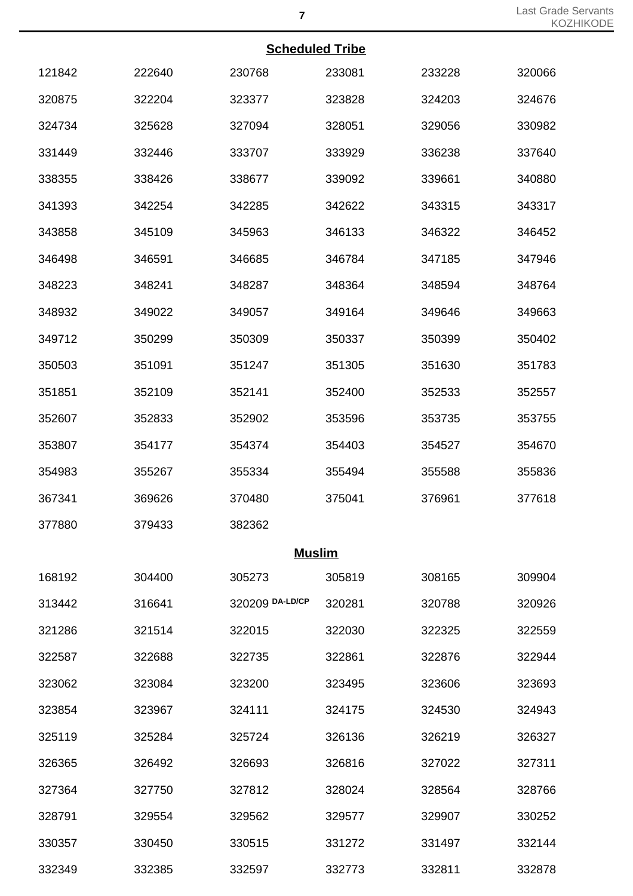### **Scheduled Tribe**

|        |        | <b>Scheduled Tribe</b> |        |        |        |
|--------|--------|------------------------|--------|--------|--------|
| 121842 | 222640 | 230768                 | 233081 | 233228 | 320066 |
| 320875 | 322204 | 323377                 | 323828 | 324203 | 324676 |
| 324734 | 325628 | 327094                 | 328051 | 329056 | 330982 |
| 331449 | 332446 | 333707                 | 333929 | 336238 | 337640 |
| 338355 | 338426 | 338677                 | 339092 | 339661 | 340880 |
| 341393 | 342254 | 342285                 | 342622 | 343315 | 343317 |
| 343858 | 345109 | 345963                 | 346133 | 346322 | 346452 |
| 346498 | 346591 | 346685                 | 346784 | 347185 | 347946 |
| 348223 | 348241 | 348287                 | 348364 | 348594 | 348764 |
| 348932 | 349022 | 349057                 | 349164 | 349646 | 349663 |
| 349712 | 350299 | 350309                 | 350337 | 350399 | 350402 |
| 350503 | 351091 | 351247                 | 351305 | 351630 | 351783 |
| 351851 | 352109 | 352141                 | 352400 | 352533 | 352557 |
| 352607 | 352833 | 352902                 | 353596 | 353735 | 353755 |
| 353807 | 354177 | 354374                 | 354403 | 354527 | 354670 |
| 354983 | 355267 | 355334                 | 355494 | 355588 | 355836 |
| 367341 | 369626 | 370480                 | 375041 | 376961 | 377618 |
| 377880 | 379433 | 382362                 |        |        |        |
|        |        | <b>Muslim</b>          |        |        |        |
| 168192 | 304400 | 305273                 | 305819 | 308165 | 309904 |
| 313442 | 316641 | 320209 DA-LD/CP        | 320281 | 320788 | 320926 |
| 321286 | 321514 | 322015                 | 322030 | 322325 | 322559 |
| 322587 | 322688 | 322735                 | 322861 | 322876 | 322944 |
| 323062 | 323084 | 323200                 | 323495 | 323606 | 323693 |
| 323854 | 323967 | 324111                 | 324175 | 324530 | 324943 |
| 325119 | 325284 | 325724                 | 326136 | 326219 | 326327 |
| 326365 | 326492 | 326693                 | 326816 | 327022 | 327311 |
| 327364 | 327750 | 327812                 | 328024 | 328564 | 328766 |
| 328791 | 329554 | 329562                 | 329577 | 329907 | 330252 |
| 330357 | 330450 | 330515                 | 331272 | 331497 | 332144 |
| 332349 | 332385 | 332597                 | 332773 | 332811 | 332878 |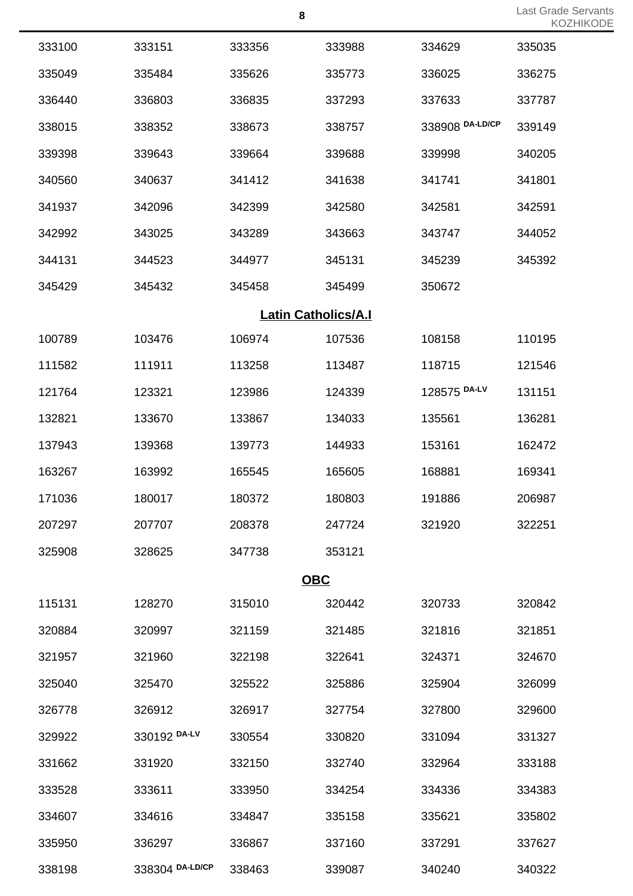Last Grade Servants KOZHIKODE

|        |                 | 8                          |        |                 | Last Grade<br>KO |
|--------|-----------------|----------------------------|--------|-----------------|------------------|
| 333100 | 333151          | 333356                     | 333988 | 334629          | 335035           |
| 335049 | 335484          | 335626                     | 335773 | 336025          | 336275           |
| 336440 | 336803          | 336835                     | 337293 | 337633          | 337787           |
| 338015 | 338352          | 338673                     | 338757 | 338908 DA-LD/CP | 339149           |
| 339398 | 339643          | 339664                     | 339688 | 339998          | 340205           |
| 340560 | 340637          | 341412                     | 341638 | 341741          | 341801           |
| 341937 | 342096          | 342399                     | 342580 | 342581          | 342591           |
| 342992 | 343025          | 343289                     | 343663 | 343747          | 344052           |
| 344131 | 344523          | 344977                     | 345131 | 345239          | 345392           |
| 345429 | 345432          | 345458                     | 345499 | 350672          |                  |
|        |                 | <b>Latin Catholics/A.I</b> |        |                 |                  |
| 100789 | 103476          | 106974                     | 107536 | 108158          | 110195           |
| 111582 | 111911          | 113258                     | 113487 | 118715          | 121546           |
| 121764 | 123321          | 123986                     | 124339 | 128575 DA-LV    | 131151           |
| 132821 | 133670          | 133867                     | 134033 | 135561          | 136281           |
| 137943 | 139368          | 139773                     | 144933 | 153161          | 162472           |
| 163267 | 163992          | 165545                     | 165605 | 168881          | 169341           |
| 171036 | 180017          | 180372                     | 180803 | 191886          | 206987           |
| 207297 | 207707          | 208378                     | 247724 | 321920          | 322251           |
| 325908 | 328625          | 347738                     | 353121 |                 |                  |
|        |                 | <b>OBC</b>                 |        |                 |                  |
| 115131 | 128270          | 315010                     | 320442 | 320733          | 320842           |
| 320884 | 320997          | 321159                     | 321485 | 321816          | 321851           |
| 321957 | 321960          | 322198                     | 322641 | 324371          | 324670           |
| 325040 | 325470          | 325522                     | 325886 | 325904          | 326099           |
| 326778 | 326912          | 326917                     | 327754 | 327800          | 329600           |
| 329922 | 330192 DA-LV    | 330554                     | 330820 | 331094          | 331327           |
| 331662 | 331920          | 332150                     | 332740 | 332964          | 333188           |
| 333528 | 333611          | 333950                     | 334254 | 334336          | 334383           |
| 334607 | 334616          | 334847                     | 335158 | 335621          | 335802           |
| 335950 | 336297          | 336867                     | 337160 | 337291          | 337627           |
| 338198 | 338304 DA-LD/CP | 338463                     | 339087 | 340240          | 340322           |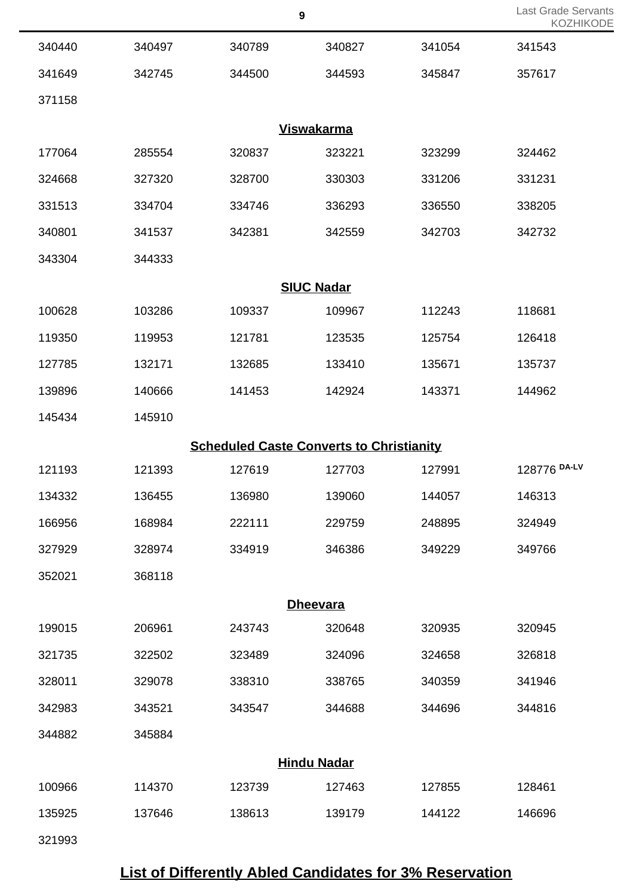|        |        |                                                 |                    |        | . . v -      |
|--------|--------|-------------------------------------------------|--------------------|--------|--------------|
| 340440 | 340497 | 340789                                          | 340827             | 341054 | 341543       |
| 341649 | 342745 | 344500                                          | 344593             | 345847 | 357617       |
| 371158 |        |                                                 |                    |        |              |
|        |        |                                                 | <b>Viswakarma</b>  |        |              |
| 177064 | 285554 | 320837                                          | 323221             | 323299 | 324462       |
| 324668 | 327320 | 328700                                          | 330303             | 331206 | 331231       |
| 331513 | 334704 | 334746                                          | 336293             | 336550 | 338205       |
| 340801 | 341537 | 342381                                          | 342559             | 342703 | 342732       |
| 343304 | 344333 |                                                 |                    |        |              |
|        |        |                                                 | <b>SIUC Nadar</b>  |        |              |
| 100628 | 103286 | 109337                                          | 109967             | 112243 | 118681       |
| 119350 | 119953 | 121781                                          | 123535             | 125754 | 126418       |
| 127785 | 132171 | 132685                                          | 133410             | 135671 | 135737       |
| 139896 | 140666 | 141453                                          | 142924             | 143371 | 144962       |
| 145434 | 145910 |                                                 |                    |        |              |
|        |        | <b>Scheduled Caste Converts to Christianity</b> |                    |        |              |
| 121193 | 121393 | 127619                                          | 127703             | 127991 | 128776 DA-LV |
| 134332 | 136455 | 136980                                          | 139060             | 144057 | 146313       |
| 166956 | 168984 | 222111                                          | 229759             | 248895 | 324949       |
| 327929 | 328974 | 334919                                          | 346386             | 349229 | 349766       |
| 352021 | 368118 |                                                 |                    |        |              |
|        |        |                                                 | <b>Dheevara</b>    |        |              |
| 199015 | 206961 | 243743                                          | 320648             | 320935 | 320945       |
| 321735 | 322502 | 323489                                          | 324096             | 324658 | 326818       |
| 328011 | 329078 | 338310                                          | 338765             | 340359 | 341946       |
| 342983 | 343521 | 343547                                          | 344688             | 344696 | 344816       |
| 344882 | 345884 |                                                 |                    |        |              |
|        |        |                                                 | <b>Hindu Nadar</b> |        |              |
| 100966 | 114370 | 123739                                          | 127463             | 127855 | 128461       |
| 135925 | 137646 | 138613                                          | 139179             | 144122 | 146696       |
| 321993 |        |                                                 |                    |        |              |

# **List of Differently Abled Candidates for 3% Reservation**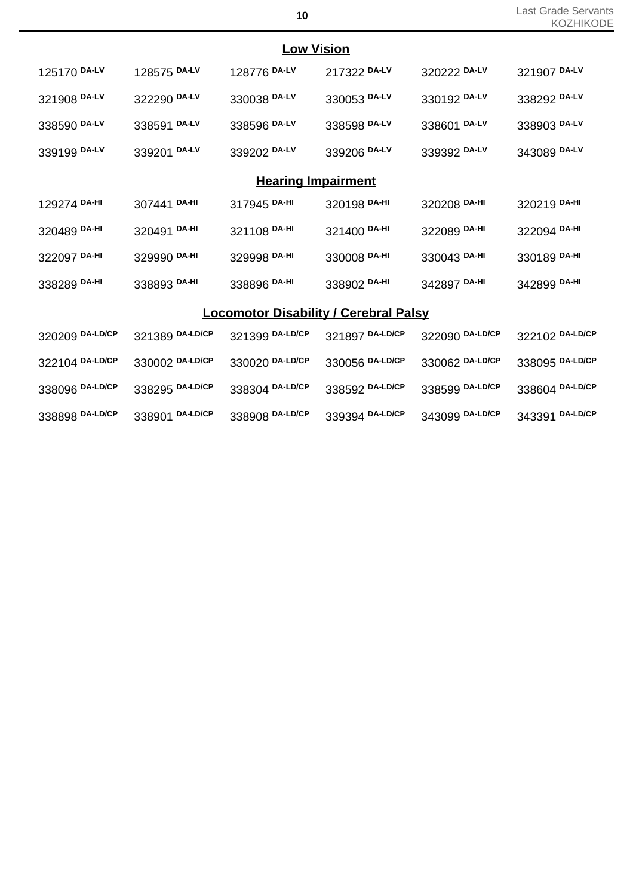| <b>Low Vision</b>       |              |              |                           |              |              |  |  |
|-------------------------|--------------|--------------|---------------------------|--------------|--------------|--|--|
| 125170 DA-LV            | 128575 DA-LV | 128776 DA-LV | 217322 DA-LV              | 320222 DA-LV | 321907 DA-LV |  |  |
| 321908 DA-LV            | 322290 DA-LV | 330038 DA-LV | 330053 DA-LV              | 330192 DA-LV | 338292 DA-LV |  |  |
| 338590 DA-LV            | 338591 DA-LV | 338596 DA-LV | 338598 DA-LV              | 338601 DA-LV | 338903 DA-LV |  |  |
| 339199 DA-LV            | 339201 DA-LV | 339202 DA-LV | 339206 DA-LV              | 339392 DA-LV | 343089 DA-LV |  |  |
|                         |              |              | <b>Hearing Impairment</b> |              |              |  |  |
| 129274 DA-HI            | 307441 DA-HI | 317945 DA-HI | 320198 DA-HI              | 320208 DA-HI | 320219 DA-HI |  |  |
| 320489 <sup>DA-HI</sup> | 320491 DA-HI | 321108 DA-HI | 321400 DA-HI              | 322089 DA-HI | 322094 DA-HI |  |  |
| 322097 <sup>DA-HI</sup> | 329990 DA-HI | 329998 DA-HI | 330008 DA-HI              | 330043 DA-HI | 330189 DA-HI |  |  |
| 338289 DA-HI            | 338893 DA-HI | 338896 DA-HI | 338902 DA-HI              | 342897 DA-HI | 342899 DA-HI |  |  |
|                         |              |              |                           |              |              |  |  |

## **Locomotor Disability / Cerebral Palsy**

| 320209 DA-LD/CP | 321389 DA-LD/CP | 321399 DA-LD/CP | 321897 DA-LD/CP | 322090 DA-LD/CP | 322102 DA-LD/CP |
|-----------------|-----------------|-----------------|-----------------|-----------------|-----------------|
| 322104 DA-LD/CP | 330002 DA-LD/CP | 330020 DA-LD/CP | 330056 DA-LD/CP | 330062 DA-LD/CP | 338095 DA-LD/CP |
| 338096 DA-LD/CP | 338295 DA-LD/CP | 338304 DA-LD/CP | 338592 DA-LD/CP | 338599 DA-LD/CP | 338604 DA-LD/CP |
| 338898 DA-LD/CP | 338901 DA-LD/CP | 338908 DA-LD/CP | 339394 DA-LD/CP | 343099 DA-LD/CP | 343391 DA-LD/CP |